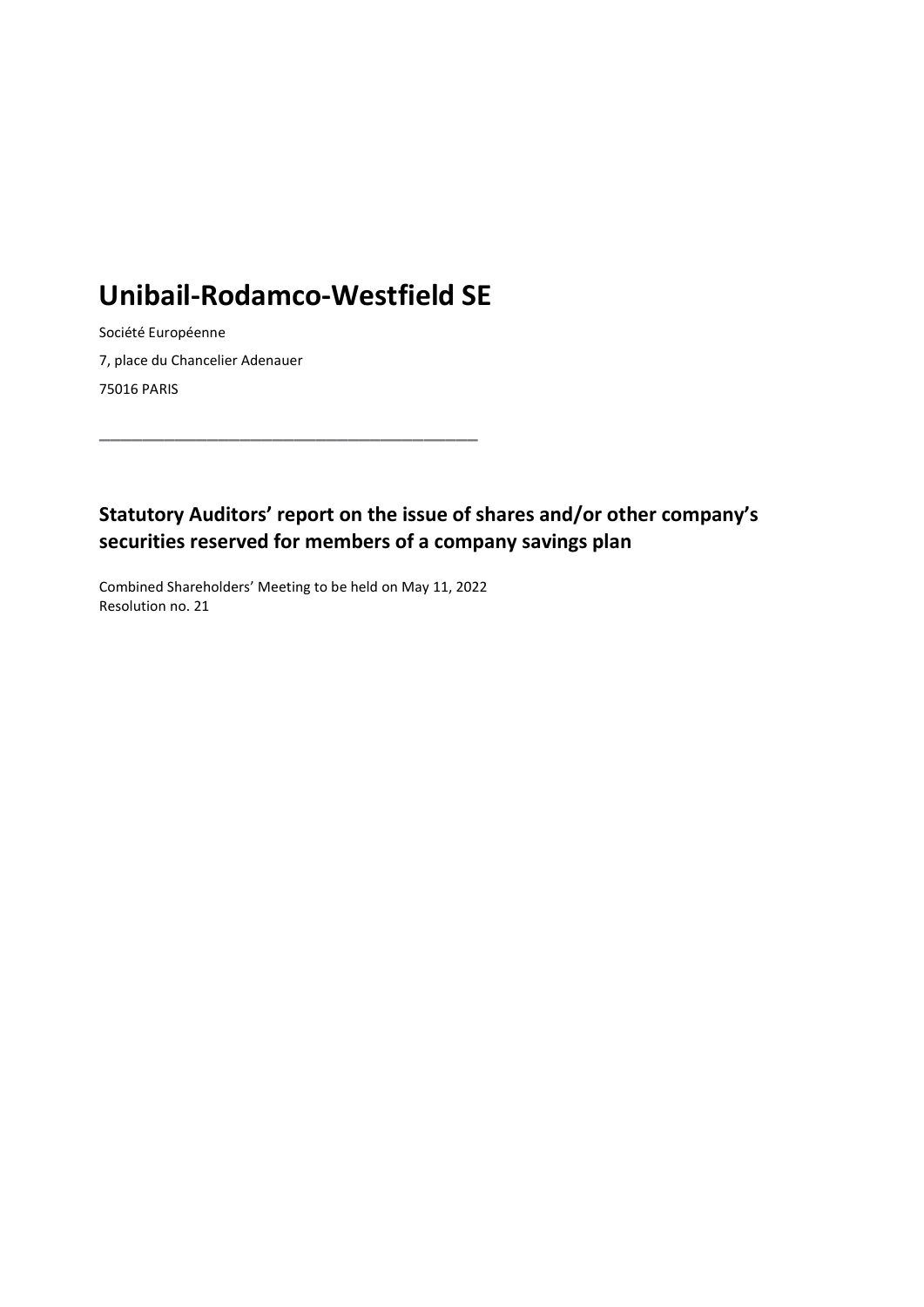## Unibail-Rodamco-Westfield SE

\_\_\_\_\_\_\_\_\_\_\_\_\_\_\_\_\_\_\_\_\_\_\_\_\_\_\_\_\_\_\_\_\_\_\_

Société Européenne 7, place du Chancelier Adenauer 75016 PARIS

Statutory Auditors' report on the issue of shares and/or other company's securities reserved for members of a company savings plan

Combined Shareholders' Meeting to be held on May 11, 2022 Resolution no. 21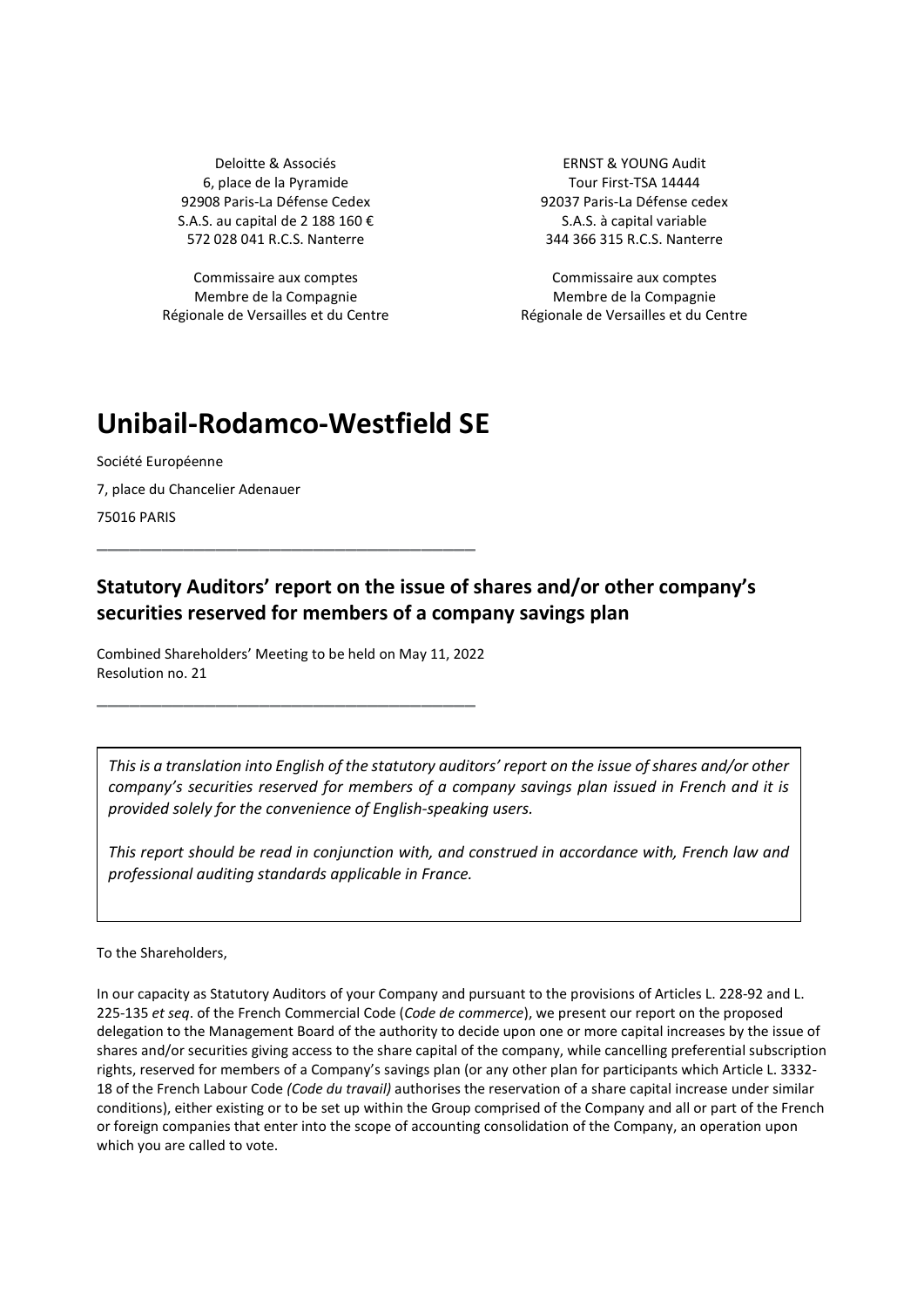Deloitte & Associés ERNST & YOUNG Audit 6, place de la Pyramide de la province de la Pyramide de la Serbe de la Serbe de la Guerra de la Guerra de la 92908 Paris-La Défense Cedex 92037 Paris-La Défense cedex S.A.S. au capital de 2 188 160 €  $S.A.S.$  à capital variable 572 028 041 R.C.S. Nanterre 344 366 315 R.C.S. Nanterre

Commissaire aux comptes Commissaire aux comptes Membre de la Compagnie Régionale de Versailles et du Centre

Membre de la Compagnie Régionale de Versailles et du Centre

## Unibail-Rodamco-Westfield SE

Société Européenne 7, place du Chancelier Adenauer 75016 PARIS

## Statutory Auditors' report on the issue of shares and/or other company's securities reserved for members of a company savings plan

Combined Shareholders' Meeting to be held on May 11, 2022 Resolution no. 21

\_\_\_\_\_\_\_\_\_\_\_\_\_\_\_\_\_\_\_\_\_\_\_\_\_\_\_\_\_\_\_\_\_\_\_

\_\_\_\_\_\_\_\_\_\_\_\_\_\_\_\_\_\_\_\_\_\_\_\_\_\_\_\_\_\_\_\_\_\_\_

This is a translation into English of the statutory auditors' report on the issue of shares and/or other company's securities reserved for members of a company savings plan issued in French and it is provided solely for the convenience of English-speaking users.

This report should be read in conjunction with, and construed in accordance with, French law and professional auditing standards applicable in France.

To the Shareholders,

In our capacity as Statutory Auditors of your Company and pursuant to the provisions of Articles L. 228-92 and L. 225-135 et seq. of the French Commercial Code (Code de commerce), we present our report on the proposed delegation to the Management Board of the authority to decide upon one or more capital increases by the issue of shares and/or securities giving access to the share capital of the company, while cancelling preferential subscription rights, reserved for members of a Company's savings plan (or any other plan for participants which Article L. 3332- 18 of the French Labour Code (Code du travail) authorises the reservation of a share capital increase under similar conditions), either existing or to be set up within the Group comprised of the Company and all or part of the French or foreign companies that enter into the scope of accounting consolidation of the Company, an operation upon which you are called to vote.